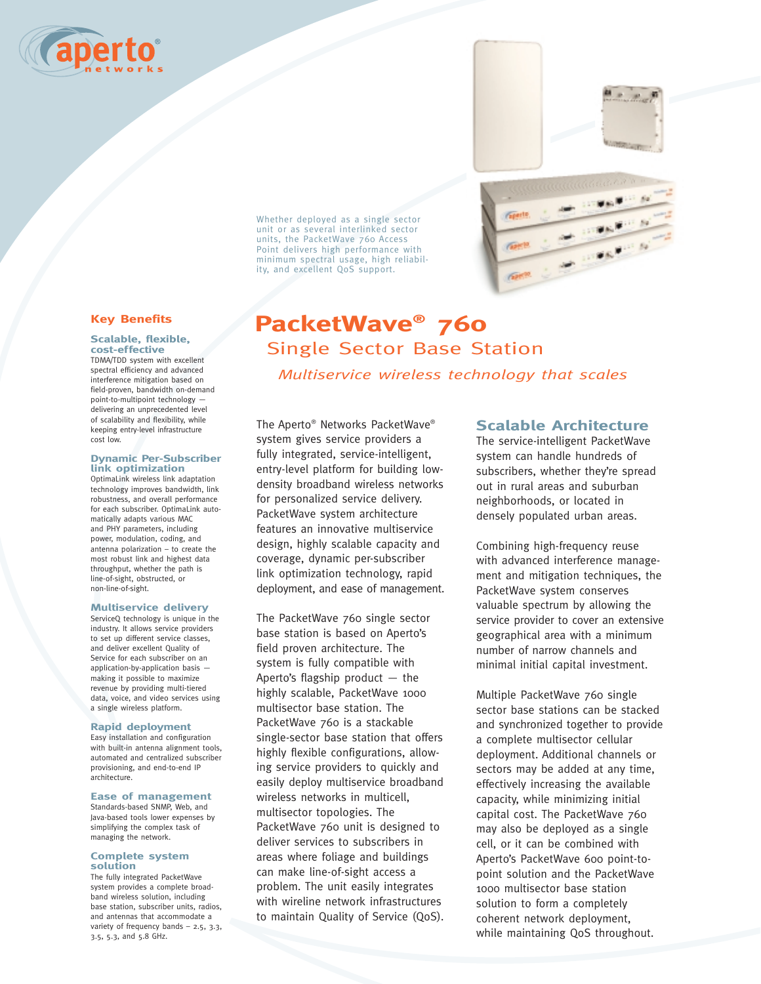



Whether deployed as a single sector unit or as several interlinked sector units, the PacketWave 760 Access Point delivers high performance with minimum spectral usage, high reliability, and excellent QoS support.

### **Key Benefits**

#### **Scalable, flexible, cost-effective**

TDMA/TDD system with excellent spectral efficiency and advanced interference mitigation based on field-proven, bandwidth on-demand point-to-multipoint technology delivering an unprecedented level of scalability and flexibility, while keeping entry-level infrastructure cost low.

#### **Dynamic Per-Subscriber link optimization**

OptimaLink wireless link adaptation technology improves bandwidth, link robustness, and overall performance for each subscriber. OptimaLink automatically adapts various MAC and PHY parameters, including power, modulation, coding, and antenna polarization – to create the most robust link and highest data throughput, whether the path is line-of-sight, obstructed, or non-line-of-sight.

#### **Multiservice delivery**

ServiceQ technology is unique in the industry. It allows service providers to set up different service classes, and deliver excellent Quality of Service for each subscriber on an application-by-application basis making it possible to maximize revenue by providing multi-tiered data, voice, and video services using a single wireless platform.

#### **Rapid deployment**

Easy installation and configuration with built-in antenna alignment tools, automated and centralized subscriber provisioning, and end-to-end IP architecture.

#### **Ease of management**

Standards-based SNMP, Web, and Java-based tools lower expenses by simplifying the complex task of managing the network.

#### **Complete system solution**

The fully integrated PacketWave system provides a complete broadband wireless solution, including base station, subscriber units, radios, and antennas that accommodate a variety of frequency bands – 2.5, 3.3, 3.5, 5.3, and 5.8 GHz.

# **PacketWave® 760** Single Sector Base Station

*Multiservice wireless technology that scales* 

The Aperto® Networks PacketWave® system gives service providers a fully integrated, service-intelligent, entry-level platform for building lowdensity broadband wireless networks for personalized service delivery. PacketWave system architecture features an innovative multiservice design, highly scalable capacity and coverage, dynamic per-subscriber link optimization technology, rapid deployment, and ease of management.

The PacketWave 760 single sector base station is based on Aperto's field proven architecture. The system is fully compatible with Aperto's flagship product  $-$  the highly scalable, PacketWave 1000 multisector base station. The PacketWave 760 is a stackable single-sector base station that offers highly flexible configurations, allowing service providers to quickly and easily deploy multiservice broadband wireless networks in multicell, multisector topologies. The PacketWave 760 unit is designed to deliver services to subscribers in areas where foliage and buildings can make line-of-sight access a problem. The unit easily integrates with wireline network infrastructures to maintain Quality of Service (QoS).

# **Scalable Architecture**

The service-intelligent PacketWave system can handle hundreds of subscribers, whether they're spread out in rural areas and suburban neighborhoods, or located in densely populated urban areas.

Combining high-frequency reuse with advanced interference management and mitigation techniques, the PacketWave system conserves valuable spectrum by allowing the service provider to cover an extensive geographical area with a minimum number of narrow channels and minimal initial capital investment.

Multiple PacketWave 760 single sector base stations can be stacked and synchronized together to provide a complete multisector cellular deployment. Additional channels or sectors may be added at any time, effectively increasing the available capacity, while minimizing initial capital cost. The PacketWave 760 may also be deployed as a single cell, or it can be combined with Aperto's PacketWave 600 point-topoint solution and the PacketWave 1000 multisector base station solution to form a completely coherent network deployment, while maintaining QoS throughout.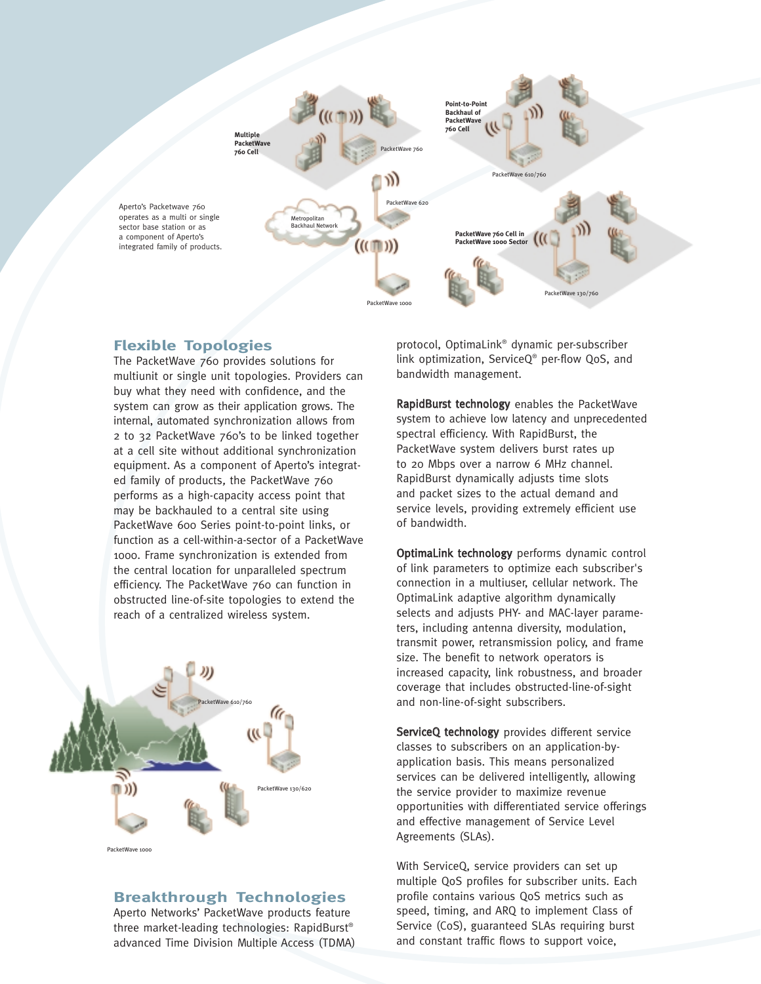

# **Flexible Topologies**

The PacketWave 760 provides solutions for multiunit or single unit topologies. Providers can buy what they need with confidence, and the system can grow as their application grows. The internal, automated synchronization allows from 2 to 32 PacketWave 760's to be linked together at a cell site without additional synchronization equipment. As a component of Aperto's integrated family of products, the PacketWave 760 performs as a high-capacity access point that may be backhauled to a central site using PacketWave 600 Series point-to-point links, or function as a cell-within-a-sector of a PacketWave 1000. Frame synchronization is extended from the central location for unparalleled spectrum efficiency. The PacketWave 760 can function in obstructed line-of-site topologies to extend the reach of a centralized wireless system.



PacketWave 1000

# **Breakthrough Technologies**

Aperto Networks' PacketWave products feature three market-leading technologies: RapidBurst® advanced Time Division Multiple Access (TDMA) protocol, OptimaLink® dynamic per-subscriber link optimization, ServiceQ® per-flow QoS, and bandwidth management.

RapidBurst technology enables the PacketWave system to achieve low latency and unprecedented spectral efficiency. With RapidBurst, the PacketWave system delivers burst rates up to 20 Mbps over a narrow 6 MHz channel. RapidBurst dynamically adjusts time slots and packet sizes to the actual demand and service levels, providing extremely efficient use of bandwidth.

OptimaLink technology performs dynamic control of link parameters to optimize each subscriber's connection in a multiuser, cellular network. The OptimaLink adaptive algorithm dynamically selects and adjusts PHY- and MAC-layer parameters, including antenna diversity, modulation, transmit power, retransmission policy, and frame size. The benefit to network operators is increased capacity, link robustness, and broader coverage that includes obstructed-line-of-sight and non-line-of-sight subscribers.

ServiceQ technology provides different service classes to subscribers on an application-byapplication basis. This means personalized services can be delivered intelligently, allowing the service provider to maximize revenue opportunities with differentiated service offerings and effective management of Service Level Agreements (SLAs).

With ServiceQ, service providers can set up multiple QoS profiles for subscriber units. Each profile contains various QoS metrics such as speed, timing, and ARQ to implement Class of Service (CoS), guaranteed SLAs requiring burst and constant traffic flows to support voice,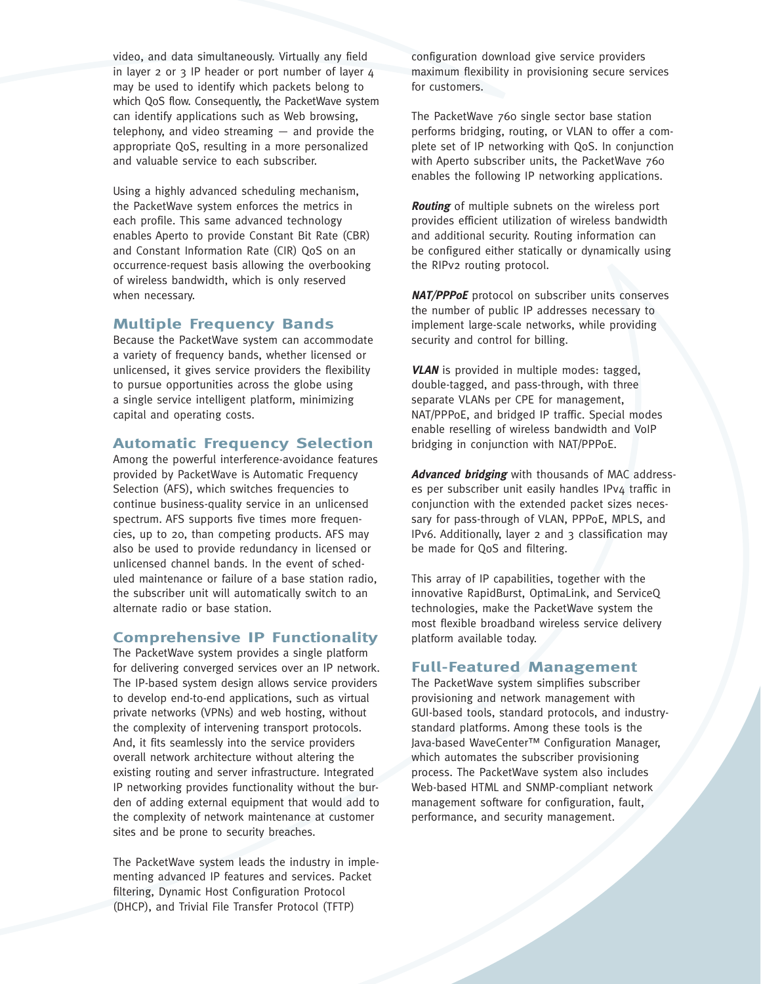video, and data simultaneously. Virtually any field in layer 2 or 3 IP header or port number of layer 4 may be used to identify which packets belong to which QoS flow. Consequently, the PacketWave system can identify applications such as Web browsing, telephony, and video streaming — and provide the appropriate QoS, resulting in a more personalized and valuable service to each subscriber.

Using a highly advanced scheduling mechanism, the PacketWave system enforces the metrics in each profile. This same advanced technology enables Aperto to provide Constant Bit Rate (CBR) and Constant Information Rate (CIR) QoS on an occurrence-request basis allowing the overbooking of wireless bandwidth, which is only reserved when necessary.

## **Multiple Frequency Bands**

Because the PacketWave system can accommodate a variety of frequency bands, whether licensed or unlicensed, it gives service providers the flexibility to pursue opportunities across the globe using a single service intelligent platform, minimizing capital and operating costs.

## **Automatic Frequency Selection**

Among the powerful interference-avoidance features provided by PacketWave is Automatic Frequency Selection (AFS), which switches frequencies to continue business-quality service in an unlicensed spectrum. AFS supports five times more frequencies, up to 20, than competing products. AFS may also be used to provide redundancy in licensed or unlicensed channel bands. In the event of scheduled maintenance or failure of a base station radio, the subscriber unit will automatically switch to an alternate radio or base station.

## **Comprehensive IP Functionality**

The PacketWave system provides a single platform for delivering converged services over an IP network. The IP-based system design allows service providers to develop end-to-end applications, such as virtual private networks (VPNs) and web hosting, without the complexity of intervening transport protocols. And, it fits seamlessly into the service providers overall network architecture without altering the existing routing and server infrastructure. Integrated IP networking provides functionality without the burden of adding external equipment that would add to the complexity of network maintenance at customer sites and be prone to security breaches.

The PacketWave system leads the industry in implementing advanced IP features and services. Packet filtering, Dynamic Host Configuration Protocol (DHCP), and Trivial File Transfer Protocol (TFTP)

configuration download give service providers maximum flexibility in provisioning secure services for customers.

The PacketWave 760 single sector base station performs bridging, routing, or VLAN to offer a complete set of IP networking with QoS. In conjunction with Aperto subscriber units, the PacketWave 760 enables the following IP networking applications.

**Routing** of multiple subnets on the wireless port provides efficient utilization of wireless bandwidth and additional security. Routing information can be configured either statically or dynamically using the RIPv2 routing protocol.

**NAT/PPPoE** protocol on subscriber units conserves the number of public IP addresses necessary to implement large-scale networks, while providing security and control for billing.

**VLAN** is provided in multiple modes: tagged, double-tagged, and pass-through, with three separate VLANs per CPE for management, NAT/PPPoE, and bridged IP traffic. Special modes enable reselling of wireless bandwidth and VoIP bridging in conjunction with NAT/PPPoE.

**Advanced bridging** with thousands of MAC addresses per subscriber unit easily handles IPv4 traffic in conjunction with the extended packet sizes necessary for pass-through of VLAN, PPPoE, MPLS, and IPv6. Additionally, layer 2 and 3 classification may be made for QoS and filtering.

This array of IP capabilities, together with the innovative RapidBurst, OptimaLink, and ServiceQ technologies, make the PacketWave system the most flexible broadband wireless service delivery platform available today.

## **Full-Featured Management**

The PacketWave system simplifies subscriber provisioning and network management with GUI-based tools, standard protocols, and industrystandard platforms. Among these tools is the Java-based WaveCenter™ Configuration Manager, which automates the subscriber provisioning process. The PacketWave system also includes Web-based HTML and SNMP-compliant network management software for configuration, fault, performance, and security management.